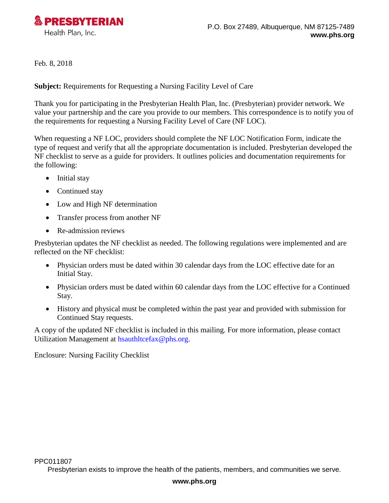

Feb. 8, 2018

**Subject:** Requirements for Requesting a Nursing Facility Level of Care

Thank you for participating in the Presbyterian Health Plan, Inc. (Presbyterian) provider network. We value your partnership and the care you provide to our members. This correspondence is to notify you of the requirements for requesting a Nursing Facility Level of Care (NF LOC).

When requesting a NF LOC, providers should complete the NF LOC Notification Form, indicate the type of request and verify that all the appropriate documentation is included. Presbyterian developed the NF checklist to serve as a guide for providers. It outlines policies and documentation requirements for the following:

- Initial stay
- Continued stay
- Low and High NF determination
- Transfer process from another NF
- Re-admission reviews

Presbyterian updates the NF checklist as needed. The following regulations were implemented and are reflected on the NF checklist:

- Physician orders must be dated within 30 calendar days from the LOC effective date for an Initial Stay.
- Physician orders must be dated within 60 calendar days from the LOC effective for a Continued Stay.
- History and physical must be completed within the past year and provided with submission for Continued Stay requests.

A copy of the updated NF checklist is included in this mailing. For more information, please contact Utilization Management at [hsauthltcefax@phs.org.](mailto:hsauthltcefax@phs.org)

Enclosure: Nursing Facility Checklist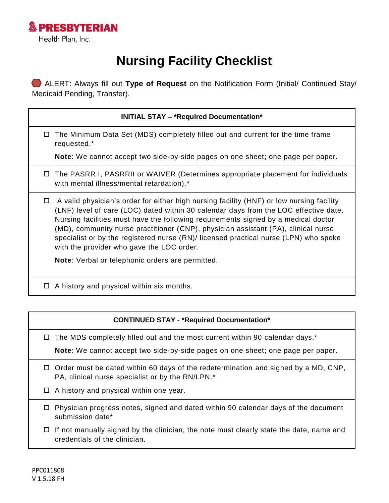

## **Nursing Facility Checklist**

 ALERT: Always fill out **Type of Request** on the Notification Form (Initial/ Continued Stay/ Medicaid Pending, Transfer).

| <b>INITIAL STAY - *Required Documentation*</b> |  |
|------------------------------------------------|--|
|------------------------------------------------|--|

 $\Box$  The Minimum Data Set (MDS) completely filled out and current for the time frame requested.\*

**Note**: We cannot accept two side-by-side pages on one sheet; one page per paper.

- The PASRR I, PASRRII or WAIVER (Determines appropriate placement for individuals with mental illness/mental retardation).<sup>\*</sup>
- $\Box$  A valid physician's order for either high nursing facility (HNF) or low nursing facility (LNF) level of care (LOC) dated within 30 calendar days from the LOC effective date. Nursing facilities must have the following requirements signed by a medical doctor (MD), community nurse practitioner (CNP), physician assistant (PA), clinical nurse specialist or by the registered nurse (RN)/ licensed practical nurse (LPN) who spoke with the provider who gave the LOC order.

**Note**: Verbal or telephonic orders are permitted.

 $\Box$  A history and physical within six months.

## **CONTINUED STAY - \*Required Documentation\***

 $\Box$  The MDS completely filled out and the most current within 90 calendar days.\*

**Note**: We cannot accept two side-by-side pages on one sheet; one page per paper.

- $\Box$  Order must be dated within 60 days of the redetermination and signed by a MD, CNP, PA, clinical nurse specialist or by the RN/LPN.\*
- □ A history and physical within one year.
- $\Box$  Physician progress notes, signed and dated within 90 calendar days of the document submission date\*
- $\Box$  If not manually signed by the clinician, the note must clearly state the date, name and credentials of the clinician.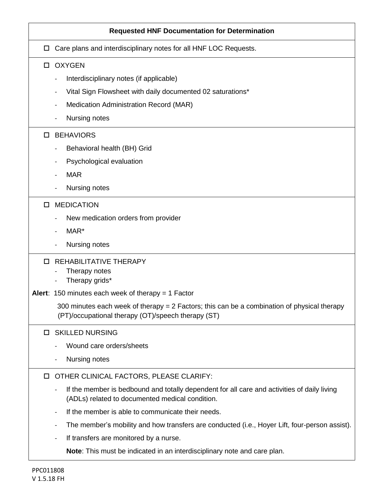|   | <b>Requested HNF Documentation for Determination</b>                                                                                           |
|---|------------------------------------------------------------------------------------------------------------------------------------------------|
| □ | Care plans and interdisciplinary notes for all HNF LOC Requests.                                                                               |
|   | □ OXYGEN                                                                                                                                       |
|   | Interdisciplinary notes (if applicable)                                                                                                        |
|   | Vital Sign Flowsheet with daily documented 02 saturations*                                                                                     |
|   | Medication Administration Record (MAR)                                                                                                         |
|   | Nursing notes                                                                                                                                  |
| 0 | <b>BEHAVIORS</b>                                                                                                                               |
|   | Behavioral health (BH) Grid                                                                                                                    |
|   | Psychological evaluation                                                                                                                       |
|   | <b>MAR</b>                                                                                                                                     |
|   | Nursing notes                                                                                                                                  |
| □ | <b>MEDICATION</b>                                                                                                                              |
|   | New medication orders from provider                                                                                                            |
|   | MAR*                                                                                                                                           |
|   | Nursing notes                                                                                                                                  |
| п | <b>REHABILITATIVE THERAPY</b>                                                                                                                  |
|   | Therapy notes<br>Therapy grids*                                                                                                                |
|   | Alert: 150 minutes each week of therapy = 1 Factor                                                                                             |
|   | 300 minutes each week of therapy = 2 Factors; this can be a combination of physical therapy                                                    |
|   | (PT)/occupational therapy (OT)/speech therapy (ST)                                                                                             |
| □ | <b>SKILLED NURSING</b>                                                                                                                         |
|   | Wound care orders/sheets                                                                                                                       |
|   | Nursing notes                                                                                                                                  |
| □ | OTHER CLINICAL FACTORS, PLEASE CLARIFY:                                                                                                        |
|   | If the member is bedbound and totally dependent for all care and activities of daily living<br>(ADLs) related to documented medical condition. |
|   | If the member is able to communicate their needs.<br>$\overline{\phantom{0}}$                                                                  |
|   | The member's mobility and how transfers are conducted (i.e., Hoyer Lift, four-person assist).                                                  |
|   | If transfers are monitored by a nurse.                                                                                                         |
|   | Note: This must be indicated in an interdisciplinary note and care plan.                                                                       |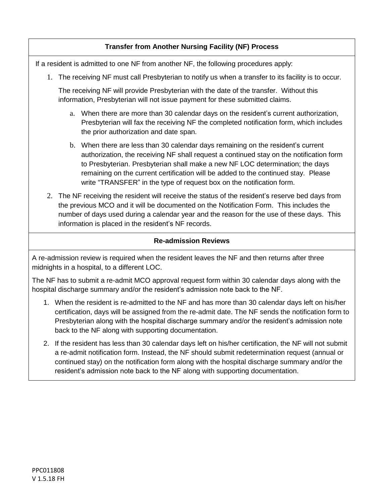## **Transfer from Another Nursing Facility (NF) Process**

If a resident is admitted to one NF from another NF, the following procedures apply:

1. The receiving NF must call Presbyterian to notify us when a transfer to its facility is to occur.

The receiving NF will provide Presbyterian with the date of the transfer. Without this information, Presbyterian will not issue payment for these submitted claims.

- a. When there are more than 30 calendar days on the resident's current authorization, Presbyterian will fax the receiving NF the completed notification form, which includes the prior authorization and date span.
- b. When there are less than 30 calendar days remaining on the resident's current authorization, the receiving NF shall request a continued stay on the notification form to Presbyterian. Presbyterian shall make a new NF LOC determination; the days remaining on the current certification will be added to the continued stay. Please write "TRANSFER" in the type of request box on the notification form.
- 2. The NF receiving the resident will receive the status of the resident's reserve bed days from the previous MCO and it will be documented on the Notification Form. This includes the number of days used during a calendar year and the reason for the use of these days. This information is placed in the resident's NF records.

## **Re-admission Reviews**

A re-admission review is required when the resident leaves the NF and then returns after three midnights in a hospital, to a different LOC.

The NF has to submit a re-admit MCO approval request form within 30 calendar days along with the hospital discharge summary and/or the resident's admission note back to the NF.

- 1. When the resident is re-admitted to the NF and has more than 30 calendar days left on his/her certification, days will be assigned from the re-admit date. The NF sends the notification form to Presbyterian along with the hospital discharge summary and/or the resident's admission note back to the NF along with supporting documentation.
- 2. If the resident has less than 30 calendar days left on his/her certification, the NF will not submit a re-admit notification form. Instead, the NF should submit redetermination request (annual or continued stay) on the notification form along with the hospital discharge summary and/or the resident's admission note back to the NF along with supporting documentation.